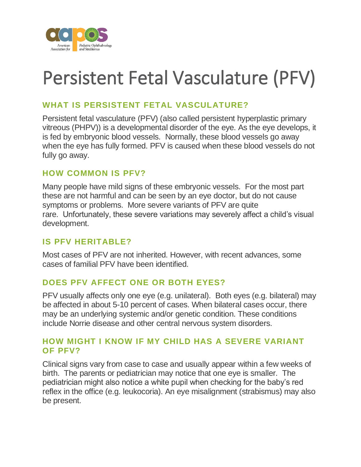

# Persistent Fetal Vasculature (PFV)

## **WHAT IS PERSISTENT FETAL VASCULATURE?**

Persistent fetal vasculature (PFV) (also called persistent hyperplastic primary vitreous (PHPV)) is a developmental disorder of the eye. As the eye develops, it is fed by embryonic blood vessels. Normally, these blood vessels go away when the eye has fully formed. PFV is caused when these blood vessels do not fully go away.

### **HOW COMMON IS PFV?**

Many people have mild signs of these embryonic vessels. For the most part these are not harmful and can be seen by an eye doctor, but do not cause symptoms or problems. More severe variants of PFV are quite rare. Unfortunately, these severe variations may severely affect a child's visual development.

#### **IS PFV HERITABLE?**

Most cases of PFV are not inherited. However, with recent advances, some cases of familial PFV have been identified.

## **DOES PFV AFFECT ONE OR BOTH EYES?**

PFV usually affects only one eye (e.g. unilateral). Both eyes (e.g. bilateral) may be affected in about 5-10 percent of cases. When bilateral cases occur, there may be an underlying systemic and/or genetic condition. These conditions include Norrie disease and other central nervous system disorders.

#### **HOW MIGHT I KNOW IF MY CHILD HAS A SEVERE VARIANT OF PFV?**

Clinical signs vary from case to case and usually appear within a few weeks of birth. The parents or pediatrician may notice that one eye is smaller. The pediatrician might also notice a white pupil when checking for the baby's red reflex in the office (e.g. leukocoria). An eye misalignment (strabismus) may also be present.